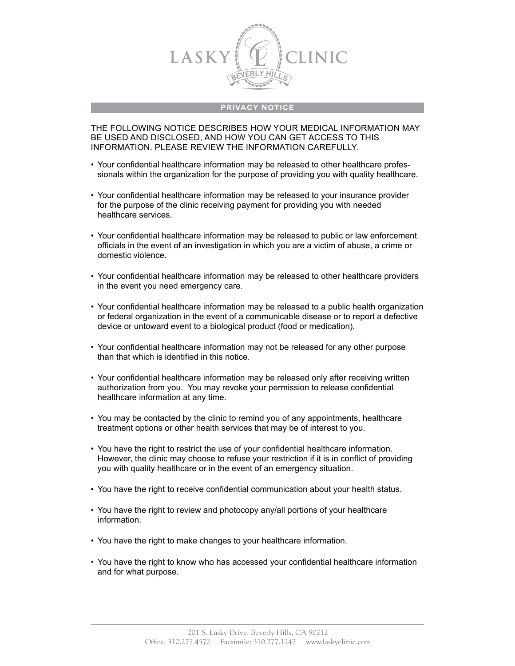

## **PRIVACY NOTICE**

THE FOLLOWING NOTICE DESCRIBES HOW YOUR MEDICAL INFORMATION MAY BE USED AND DISCLOSED, AND HOW YOU CAN GET ACCESS TO THIS INFORMATION. PLEASE REVIEW THE INFORMATION CAREFULLY.

- • Your confidential healthcare information may be released to other healthcare professionals within the organization for the purpose of providing you with quality healthcare.
- • Your confidential healthcare information may be released to your insurance provider for the purpose of the clinic receiving payment for providing you with needed healthcare services.
- • Your confidential healthcare information may be released to public or law enforcement officials in the event of an investigation in which you are a victim of abuse, a crime or domestic violence.
- • Your confidential healthcare information may be released to other healthcare providers in the event you need emergency care.
- Your confidential healthcare information may be released to a public health organization or federal organization in the event of a communicable disease or to report a defective device or untoward event to a biological product (food or medication).
- Your confidential healthcare information may not be released for any other purpose than that which is identified in this notice.
- Your confidential healthcare information may be released only after receiving written authorization from you. You may revoke your permission to release confidential healthcare information at any time.
- You may be contacted by the clinic to remind you of any appointments, healthcare treatment options or other health services that may be of interest to you.
- You have the right to restrict the use of your confidential healthcare information. However, the clinic may choose to refuse your restriction if it is in conflict of providing you with quality healthcare or in the event of an emergency situation.
- • You have the right to receive confidential communication about your health status.
- You have the right to review and photocopy any/all portions of your healthcare information.
- You have the right to make changes to your healthcare information.
- You have the right to know who has accessed your confidential healthcare information and for what purpose.